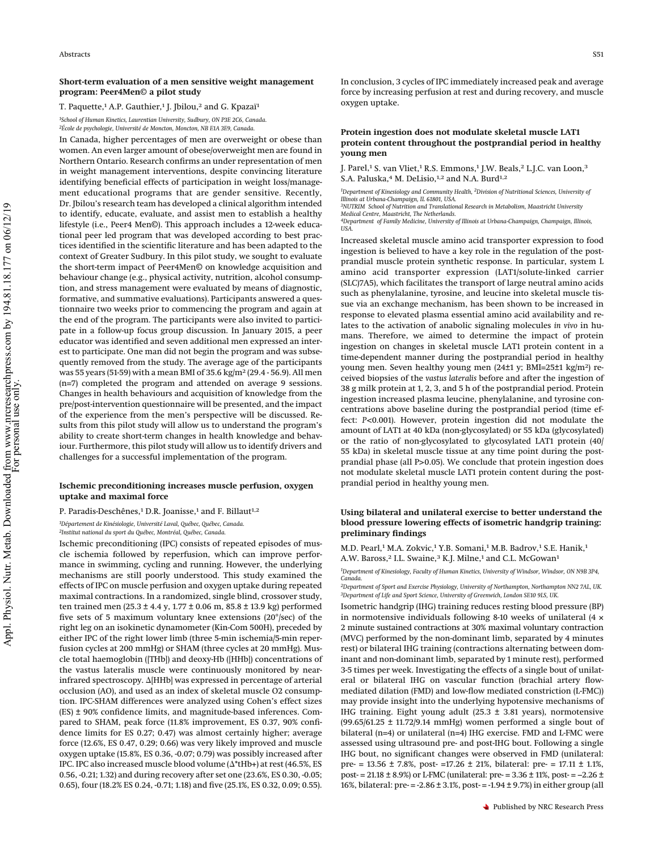## **Short-term evaluation of a men sensitive weight management program: Peer4Men© a pilot study**

T. Paquette,<sup>1</sup> A.P. Gauthier,<sup>1</sup> J. Jbilou,<sup>2</sup> and G. Kpazaï<sup>1</sup>

*1 School of Human Kinetics, Laurentian University, Sudbury, ON P3E 2C6, Canada. 2École de psychologie, Université de Moncton, Moncton, NB E1A 3E9, Canada.*

In Canada, higher percentages of men are overweight or obese than women. An even larger amount of obese/overweight men are found in Northern Ontario. Research confirms an under representation of men in weight management interventions, despite convincing literature identifying beneficial effects of participation in weight loss/management educational programs that are gender sensitive. Recently, Dr. Jbilou's research team has developed a clinical algorithm intended to identify, educate, evaluate, and assist men to establish a healthy lifestyle (i.e., Peer4 Men©). This approach includes a 12-week educational peer led program that was developed according to best practices identified in the scientific literature and has been adapted to the context of Greater Sudbury. In this pilot study, we sought to evaluate the short-term impact of Peer4Men© on knowledge acquisition and behaviour change (e.g., physical activity, nutrition, alcohol consumption, and stress management were evaluated by means of diagnostic, formative, and summative evaluations). Participants answered a questionnaire two weeks prior to commencing the program and again at the end of the program. The participants were also invited to participate in a follow-up focus group discussion. In January 2015, a peer educator was identified and seven additional men expressed an interest to participate. One man did not begin the program and was subsequently removed from the study. The average age of the participants was 55 years (51-59) with a mean BMI of 35.6 kg/m2 (29.4 - 56.9). All men (n=7) completed the program and attended on average 9 sessions. Changes in health behaviours and acquisition of knowledge from the pre/post-intervention questionnaire will be presented, and the impact of the experience from the men's perspective will be discussed. Results from this pilot study will allow us to understand the program's ability to create short-term changes in health knowledge and behaviour. Furthermore, this pilot study will allow us to identify drivers and challenges for a successful implementation of the program.

# **Ischemic preconditioning increases muscle perfusion, oxygen uptake and maximal force**

P. Paradis-Deschênes,<sup>1</sup> D.R. Joanisse,<sup>1</sup> and F. Billaut<sup>1,2</sup>

*1 Département de Kinésiologie, Université Laval, Québec, Québec, Canada. 2Institut national du sport du Québec, Montréal, Québec, Canada.*

Ischemic preconditioning (IPC) consists of repeated episodes of muscle ischemia followed by reperfusion, which can improve performance in swimming, cycling and running. However, the underlying mechanisms are still poorly understood. This study examined the effects of IPC on muscle perfusion and oxygen uptake during repeated maximal contractions. In a randomized, single blind, crossover study, ten trained men (25.3 ± 4.4 y, 1.77 ± 0.06 m, 85.8 ± 13.9 kg) performed five sets of 5 maximum voluntary knee extensions (20°/sec) of the right leg on an isokinetic dynamometer (Kin-Com 500H), preceded by either IPC of the right lower limb (three 5-min ischemia/5-min reperfusion cycles at 200 mmHg) or SHAM (three cycles at 20 mmHg). Muscle total haemoglobin ([THb]) and deoxy-Hb ([HHb]) concentrations of the vastus lateralis muscle were continuously monitored by nearinfrared spectroscopy.  $\Delta$ [HHb] was expressed in percentage of arterial occlusion (AO), and used as an index of skeletal muscle O2 consumption. IPC-SHAM differences were analyzed using Cohen's effect sizes (ES) ± 90% confidence limits, and magnitude-based inferences. Compared to SHAM, peak force (11.8% improvement, ES 0.37, 90% confidence limits for ES 0.27; 0.47) was almost certainly higher; average force (12.6%, ES 0.47, 0.29; 0.66) was very likely improved and muscle oxygen uptake (15.8%, ES 0.36, -0.07; 0.79) was possibly increased after IPC. IPC also increased muscle blood volume  $(\Delta^*tHb+)$  at rest (46.5%, ES 0.56, -0.21; 1.32) and during recovery after set one (23.6%, ES 0.30, -0.05; 0.65), four (18.2% ES 0.24, -0.71; 1.18) and five (25.1%, ES 0.32, 0.09; 0.55).

In conclusion, 3 cycles of IPC immediately increased peak and average force by increasing perfusion at rest and during recovery, and muscle oxygen uptake.

## **Protein ingestion does not modulate skeletal muscle LAT1 protein content throughout the postprandial period in healthy young men**

J. Parel,<sup>1</sup> S. van Vliet,<sup>1</sup> R.S. Emmons,<sup>1</sup> J.W. Beals,<sup>2</sup> L.J.C. van Loon,<sup>3</sup> S.A. Paluska,<sup>4</sup> M. DeLisio,<sup>1,2</sup> and N.A. Burd<sup>1,2</sup>

*1 Department of Kinesiology and Community Health, 2Division of Nutritional Sciences, University of*

*Illinois at Urbana-Champaign, IL 61801, USA. 3NUTRIM School of Nutrition and Translational Research in Metabolism, Maastricht University*

*Medical Centre, Maastricht, The Netherlands. 4Department of Family Medicine, University of Illinois at Urbana-Champaign, Champaign, Illinois, USA.*

Increased skeletal muscle amino acid transporter expression to food ingestion is believed to have a key role in the regulation of the postprandial muscle protein synthetic response. In particular, system L amino acid transporter expression (LAT1/solute-linked carrier (SLC)7A5), which facilitates the transport of large neutral amino acids such as phenylalanine, tyrosine, and leucine into skeletal muscle tissue via an exchange mechanism, has been shown to be increased in response to elevated plasma essential amino acid availability and relates to the activation of anabolic signaling molecules *in vivo* in humans. Therefore, we aimed to determine the impact of protein ingestion on changes in skeletal muscle LAT1 protein content in a time-dependent manner during the postprandial period in healthy young men. Seven healthy young men (24±1 y; BMI=25±1 kg/m2) received biopsies of the *vastus lateralis* before and after the ingestion of 38 g milk protein at 1, 2, 3, and 5 h of the postprandial period. Protein ingestion increased plasma leucine, phenylalanine, and tyrosine concentrations above baseline during the postprandial period (time effect: *P*<0.001). However, protein ingestion did not modulate the amount of LAT1 at 40 kDa (non-glycosylated) or 55 kDa (glycosylated) or the ratio of non-glycosylated to glycosylated LAT1 protein (40/ 55 kDa) in skeletal muscle tissue at any time point during the postprandial phase (all P>0.05). We conclude that protein ingestion does not modulate skeletal muscle LAT1 protein content during the postprandial period in healthy young men.

### **Using bilateral and unilateral exercise to better understand the blood pressure lowering effects of isometric handgrip training: preliminary findings**

M.D. Pearl,<sup>1</sup> M.A. Zokvic,<sup>1</sup> Y.B. Somani,<sup>1</sup> M.B. Badrov,<sup>1</sup> S.E. Hanik,<sup>1</sup> A.W. Baross,<sup>2</sup> I.L. Swaine,<sup>3</sup> K.J. Milne,<sup>1</sup> and C.L. McGowan<sup>1</sup>

*1 Department of Kinesiology, Faculty of Human Kinetics, University of Windsor, Windsor, ON N9B 3P4, Canada. 2Department of Sport and Exercise Physiology, University of Northampton, Northampton NN2 7AL, UK.*

*3Department of Life and Sport Science, University of Greenwich, London SE10 9LS, UK.*

Isometric handgrip (IHG) training reduces resting blood pressure (BP) in normotensive individuals following 8-10 weeks of unilateral (4 × 2 minute sustained contractions at 30% maximal voluntary contraction (MVC) performed by the non-dominant limb, separated by 4 minutes rest) or bilateral IHG training (contractions alternating between dominant and non-dominant limb, separated by 1 minute rest), performed 3-5 times per week. Investigating the effects of a single bout of unilateral or bilateral IHG on vascular function (brachial artery flowmediated dilation (FMD) and low-flow mediated constriction (L-FMC)) may provide insight into the underlying hypotensive mechanisms of IHG training. Eight young adult (25.3  $\pm$  3.81 years), normotensive (99.65/61.25 ± 11.72/9.14 mmHg) women performed a single bout of bilateral (n=4) or unilateral (n=4) IHG exercise. FMD and L-FMC were assessed using ultrasound pre- and post-IHG bout. Following a single IHG bout, no significant changes were observed in FMD (unilateral: pre- = 13.56 ± 7.8%, post- =17.26 ± 21%, bilateral: pre- = 17.11 ± 1.1%, post- = 21.18  $\pm$  8.9%) or L-FMC (unilateral: pre- = 3.36  $\pm$  11%, post- = -2.26  $\pm$ 16%, bilateral: pre- = -2.86  $\pm$  3.1%, post- = -1.94  $\pm$  9.7%) in either group (all